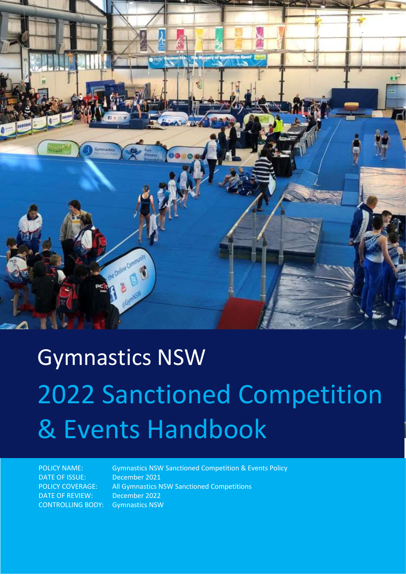

# Gymnastics NSW 2022 Sanctioned Competition & Events Handbook

DATE OF ISSUE: December 2021 DATE OF REVIEW: December 2022 CONTROLLING BODY: Gymnastics NSW

POLICY NAME: Gymnastics NSW Sanctioned Competition & Events Policy POLICY COVERAGE: All Gymnastics NSW Sanctioned Competitions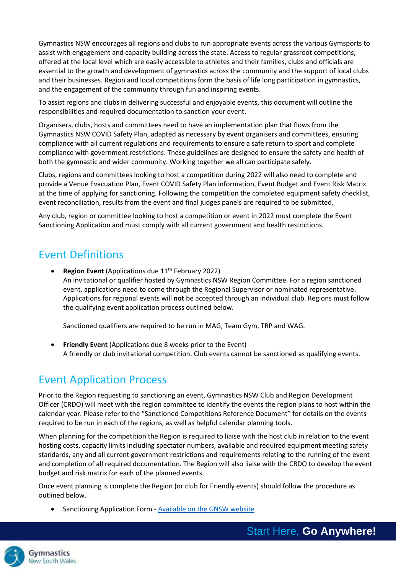Gymnastics NSW encourages all regions and clubs to run appropriate events across the various Gymsports to assist with engagement and capacity building across the state. Access to regular grassroot competitions, offered at the local level which are easily accessible to athletes and their families, clubs and officials are essential to the growth and development of gymnastics across the community and the support of local clubs and their businesses. Region and local competitions form the basis of life long participation in gymnastics, and the engagement of the community through fun and inspiring events.

To assist regions and clubs in delivering successful and enjoyable events, this document will outline the responsibilities and required documentation to sanction your event.

Organisers, clubs, hosts and committees need to have an implementation plan that flows from the Gymnastics NSW COVID Safety Plan, adapted as necessary by event organisers and committees, ensuring compliance with all current regulations and requirements to ensure a safe return to sport and complete compliance with government restrictions. These guidelines are designed to ensure the safety and health of both the gymnastic and wider community. Working together we all can participate safely.

Clubs, regions and committees looking to host a competition during 2022 will also need to complete and provide a Venue Evacuation Plan, Event COVID Safety Plan information, Event Budget and Event Risk Matrix at the time of applying for sanctioning. Following the competition the completed equipment safety checklist, event reconciliation, results from the event and final judges panels are required to be submitted.

Any club, region or committee looking to host a competition or event in 2022 must complete the Event Sanctioning Application and must comply with all current government and health restrictions.

## Event Definitions

**Region Event** (Applications due 11<sup>th</sup> February 2022) An invitational or qualifier hosted by Gymnastics NSW Region Committee. For a region sanctioned event, applications need to come through the Regional Supervisor or nominated representative. Applications for regional events will **not** be accepted through an individual club. Regions must follow the qualifying event application process outlined below.

Sanctioned qualifiers are required to be run in MAG, Team Gym, TRP and WAG.

**Friendly Event** (Applications due 8 weeks prior to the Event) A friendly or club invitational competition. Club events cannot be sanctioned as qualifying events.

## Event Application Process

Prior to the Region requesting to sanctioning an event, Gymnastics NSW Club and Region Development Officer (CRDO) will meet with the region committee to identify the events the region plans to host within the calendar year. Please refer to the "Sanctioned Competitions Reference Document" for details on the events required to be run in each of the regions, as well as helpful calendar planning tools.

When planning for the competition the Region is required to liaise with the host club in relation to the event hosting costs, capacity limits including spectator numbers, available and required equipment meeting safety standards, any and all current government restrictions and requirements relating to the running of the event and completion of all required documentation. The Region will also liaise with the CRDO to develop the event budget and risk matrix for each of the planned events.

Once event planning is complete the Region (or club for Friendly events) should follow the procedure as outlined below.

• Sanctioning Application Form - [Available on the GNSW website](https://www.nswgymnastics.com.au/sanctioned-events)



Start Here, **Go Anywhere!**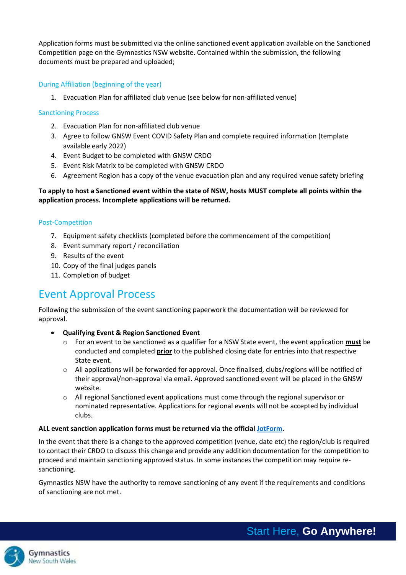Application forms must be submitted via the online sanctioned event application available on the Sanctioned Competition page on the Gymnastics NSW website. Contained within the submission, the following documents must be prepared and uploaded;

## During Affiliation (beginning of the year)

1. Evacuation Plan for affiliated club venue (see below for non-affiliated venue)

#### Sanctioning Process

- 2. Evacuation Plan for non-affiliated club venue
- 3. Agree to follow GNSW Event COVID Safety Plan and complete required information (template available early 2022)
- 4. Event Budget to be completed with GNSW CRDO
- 5. Event Risk Matrix to be completed with GNSW CRDO
- 6. Agreement Region has a copy of the venue evacuation plan and any required venue safety briefing

## **To apply to host a Sanctioned event within the state of NSW, hosts MUST complete all points within the application process. Incomplete applications will be returned.**

#### Post-Competition

- 7. Equipment safety checklists (completed before the commencement of the competition)
- 8. Event summary report / reconciliation
- 9. Results of the event
- 10. Copy of the final judges panels
- 11. Completion of budget

## Event Approval Process

Following the submission of the event sanctioning paperwork the documentation will be reviewed for approval.

- **Qualifying Event & Region Sanctioned Event**
	- o For an event to be sanctioned as a qualifier for a NSW State event, the event application **must** be conducted and completed **prior** to the published closing date for entries into that respective State event.
	- o All applications will be forwarded for approval. Once finalised, clubs/regions will be notified of their approval/non-approval via email. Approved sanctioned event will be placed in the GNSW website.
	- o All regional Sanctioned event applications must come through the regional supervisor or nominated representative. Applications for regional events will not be accepted by individual clubs.

#### **ALL event sanction application forms must be returned via the official [JotForm.](https://form.jotform.com/212127232625850)**

In the event that there is a change to the approved competition (venue, date etc) the region/club is required to contact their CRDO to discuss this change and provide any addition documentation for the competition to proceed and maintain sanctioning approved status. In some instances the competition may require resanctioning.

Gymnastics NSW have the authority to remove sanctioning of any event if the requirements and conditions of sanctioning are not met.

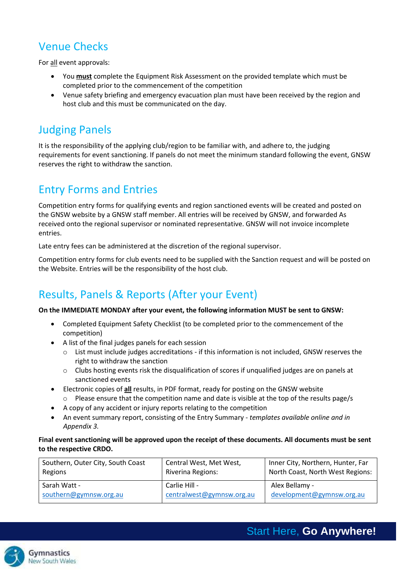# Venue Checks

For all event approvals:

- You **must** complete the Equipment Risk Assessment on the provided template which must be completed prior to the commencement of the competition
- Venue safety briefing and emergency evacuation plan must have been received by the region and host club and this must be communicated on the day.

# Judging Panels

It is the responsibility of the applying club/region to be familiar with, and adhere to, the judging requirements for event sanctioning. If panels do not meet the minimum standard following the event, GNSW reserves the right to withdraw the sanction.

## Entry Forms and Entries

Competition entry forms for qualifying events and region sanctioned events will be created and posted on the GNSW website by a GNSW staff member. All entries will be received by GNSW, and forwarded As received onto the regional supervisor or nominated representative. GNSW will not invoice incomplete entries.

Late entry fees can be administered at the discretion of the regional supervisor.

Competition entry forms for club events need to be supplied with the Sanction request and will be posted on the Website. Entries will be the responsibility of the host club.

# Results, Panels & Reports (After your Event)

#### **On the IMMEDIATE MONDAY after your event, the following information MUST be sent to GNSW:**

- Completed Equipment Safety Checklist (to be completed prior to the commencement of the competition)
- A list of the final judges panels for each session
	- o List must include judges accreditations if this information is not included, GNSW reserves the right to withdraw the sanction
	- $\circ$  Clubs hosting events risk the disqualification of scores if unqualified judges are on panels at sanctioned events
- Electronic copies of **all** results, in PDF format, ready for posting on the GNSW website
	- Please ensure that the competition name and date is visible at the top of the results page/s
- A copy of any accident or injury reports relating to the competition
- An event summary report, consisting of the Entry Summary *templates available online and in Appendix 3.*

## **Final event sanctioning will be approved upon the receipt of these documents. All documents must be sent to the respective CRDO.**

| Southern, Outer City, South Coast | Central West, Met West,   | Inner City, Northern, Hunter, Far |
|-----------------------------------|---------------------------|-----------------------------------|
| Regions                           | Riverina Regions:         | North Coast, North West Regions:  |
| Sarah Watt -                      | Carlie Hill -             | Alex Bellamy -                    |
| southern@gymnsw.org.au            | centralwest@gymnsw.org.au | development@gymnsw.org.au         |



Start Here, **Go Anywhere!**